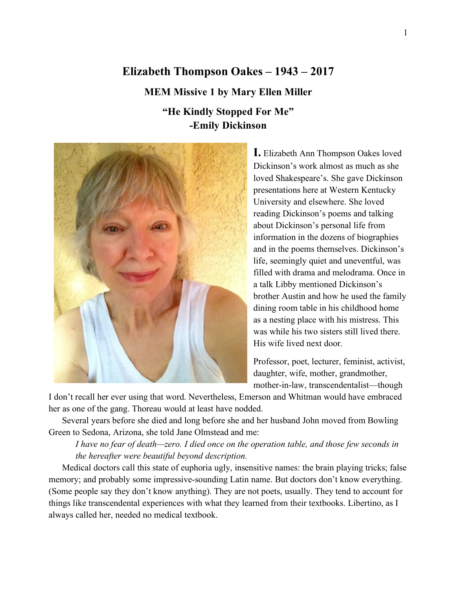# **Elizabeth Thompson Oakes – 1943 – 2017 MEM Missive 1 by Mary Ellen Miller "He Kindly Stopped For Me"**

**-Emily Dickinson**



**I.** Elizabeth Ann Thompson Oakes loved Dickinson's work almost as much as she loved Shakespeare's. She gave Dickinson presentations here at Western Kentucky University and elsewhere. She loved reading Dickinson's poems and talking about Dickinson's personal life from information in the dozens of biographies and in the poems themselves. Dickinson's life, seemingly quiet and uneventful, was filled with drama and melodrama. Once in a talk Libby mentioned Dickinson's brother Austin and how he used the family dining room table in his childhood home as a nesting place with his mistress. This was while his two sisters still lived there. His wife lived next door.

Professor, poet, lecturer, feminist, activist, daughter, wife, mother, grandmother, mother-in-law, transcendentalist—though

I don't recall her ever using that word. Nevertheless, Emerson and Whitman would have embraced her as one of the gang. Thoreau would at least have nodded.

Several years before she died and long before she and her husband John moved from Bowling Green to Sedona, Arizona, she told Jane Olmstead and me:

*I have no fear of death—zero. I died once on the operation table, and those few seconds in the hereafter were beautiful beyond description.*

Medical doctors call this state of euphoria ugly, insensitive names: the brain playing tricks; false memory; and probably some impressive-sounding Latin name. But doctors don't know everything. (Some people say they don't know anything). They are not poets, usually. They tend to account for things like transcendental experiences with what they learned from their textbooks. Libertino, as I always called her, needed no medical textbook.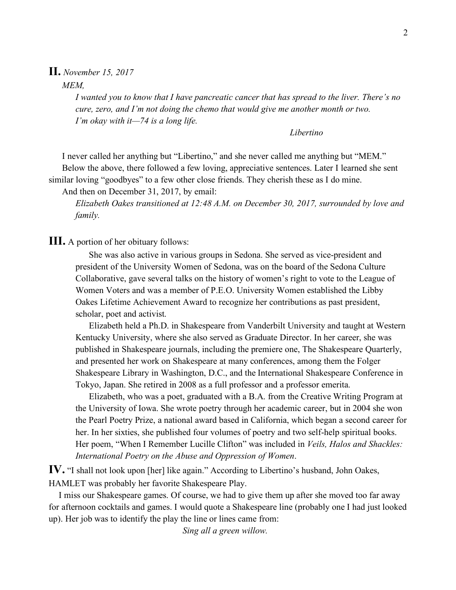#### **II.** *November 15, 2017*

*MEM,*

*I wanted you to know that I have pancreatic cancer that has spread to the liver. There's no cure, zero, and I'm not doing the chemo that would give me another month or two. I'm okay with it—74 is a long life.*

*Libertino*

I never called her anything but "Libertino," and she never called me anything but "MEM." Below the above, there followed a few loving, appreciative sentences. Later I learned she sent similar loving "goodbyes" to a few other close friends. They cherish these as I do mine.

And then on December 31, 2017, by email:

*Elizabeth Oakes transitioned at 12:48 A.M. on December 30, 2017, surrounded by love and family.*

**III.** A portion of her obituary follows:

She was also active in various groups in Sedona. She served as vice-president and president of the University Women of Sedona, was on the board of the Sedona Culture Collaborative, gave several talks on the history of women's right to vote to the League of Women Voters and was a member of P.E.O. University Women established the Libby Oakes Lifetime Achievement Award to recognize her contributions as past president, scholar, poet and activist.

Elizabeth held a Ph.D. in Shakespeare from Vanderbilt University and taught at Western Kentucky University, where she also served as Graduate Director. In her career, she was published in Shakespeare journals, including the premiere one, The Shakespeare Quarterly, and presented her work on Shakespeare at many conferences, among them the Folger Shakespeare Library in Washington, D.C., and the International Shakespeare Conference in Tokyo, Japan. She retired in 2008 as a full professor and a professor emerita.

Elizabeth, who was a poet, graduated with a B.A. from the Creative Writing Program at the University of Iowa. She wrote poetry through her academic career, but in 2004 she won the Pearl Poetry Prize, a national award based in California, which began a second career for her. In her sixties, she published four volumes of poetry and two self-help spiritual books. Her poem, "When I Remember Lucille Clifton" was included in *Veils, Halos and Shackles: International Poetry on the Abuse and Oppression of Women*.

**IV.** "I shall not look upon [her] like again." According to Libertino's husband, John Oakes, HAMLET was probably her favorite Shakespeare Play.

I miss our Shakespeare games. Of course, we had to give them up after she moved too far away for afternoon cocktails and games. I would quote a Shakespeare line (probably one I had just looked up). Her job was to identify the play the line or lines came from:

*Sing all a green willow.*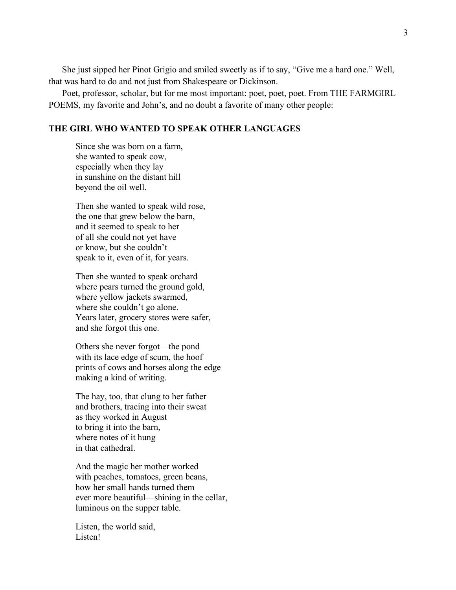She just sipped her Pinot Grigio and smiled sweetly as if to say, "Give me a hard one." Well, that was hard to do and not just from Shakespeare or Dickinson.

Poet, professor, scholar, but for me most important: poet, poet, poet. From THE FARMGIRL POEMS, my favorite and John's, and no doubt a favorite of many other people:

#### **THE GIRL WHO WANTED TO SPEAK OTHER LANGUAGES**

Since she was born on a farm, she wanted to speak cow, especially when they lay in sunshine on the distant hill beyond the oil well.

Then she wanted to speak wild rose, the one that grew below the barn, and it seemed to speak to her of all she could not yet have or know, but she couldn't speak to it, even of it, for years.

Then she wanted to speak orchard where pears turned the ground gold, where yellow jackets swarmed, where she couldn't go alone. Years later, grocery stores were safer, and she forgot this one.

Others she never forgot—the pond with its lace edge of scum, the hoof prints of cows and horses along the edge making a kind of writing.

The hay, too, that clung to her father and brothers, tracing into their sweat as they worked in August to bring it into the barn, where notes of it hung in that cathedral.

And the magic her mother worked with peaches, tomatoes, green beans, how her small hands turned them ever more beautiful—shining in the cellar, luminous on the supper table.

Listen, the world said, Listen!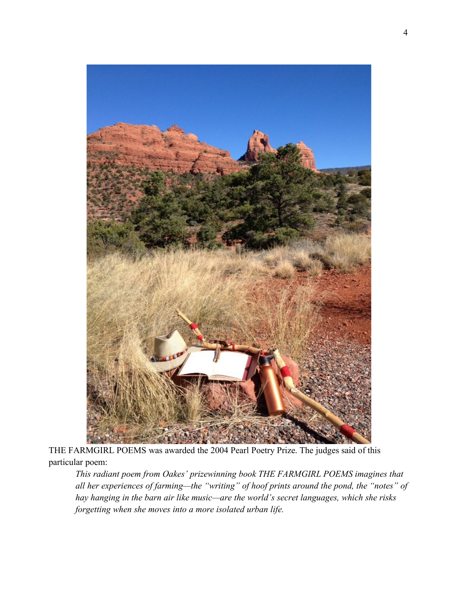

THE FARMGIRL POEMS was awarded the 2004 Pearl Poetry Prize. The judges said of this particular poem:

*This radiant poem from Oakes' prizewinning book THE FARMGIRL POEMS imagines that all her experiences of farming—the "writing" of hoof prints around the pond, the "notes" of hay hanging in the barn air like music—are the world's secret languages, which she risks forgetting when she moves into a more isolated urban life.*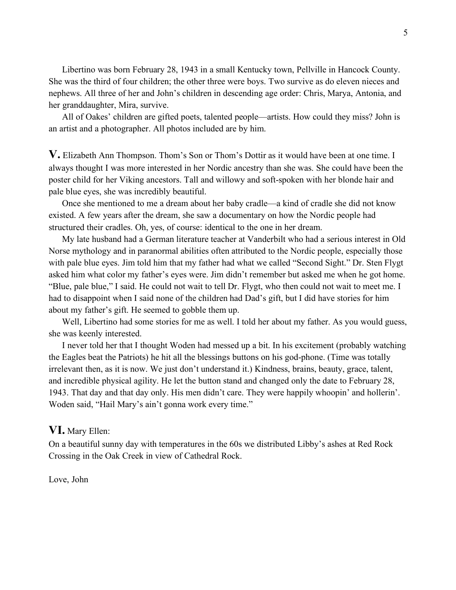Libertino was born February 28, 1943 in a small Kentucky town, Pellville in Hancock County. She was the third of four children; the other three were boys. Two survive as do eleven nieces and nephews. All three of her and John's children in descending age order: Chris, Marya, Antonia, and her granddaughter, Mira, survive.

All of Oakes' children are gifted poets, talented people—artists. How could they miss? John is an artist and a photographer. All photos included are by him.

**V.** Elizabeth Ann Thompson. Thom's Son or Thom's Dottir as it would have been at one time. I always thought I was more interested in her Nordic ancestry than she was. She could have been the poster child for her Viking ancestors. Tall and willowy and soft-spoken with her blonde hair and pale blue eyes, she was incredibly beautiful.

Once she mentioned to me a dream about her baby cradle—a kind of cradle she did not know existed. A few years after the dream, she saw a documentary on how the Nordic people had structured their cradles. Oh, yes, of course: identical to the one in her dream.

My late husband had a German literature teacher at Vanderbilt who had a serious interest in Old Norse mythology and in paranormal abilities often attributed to the Nordic people, especially those with pale blue eyes. Jim told him that my father had what we called "Second Sight." Dr. Sten Flygt asked him what color my father's eyes were. Jim didn't remember but asked me when he got home. "Blue, pale blue," I said. He could not wait to tell Dr. Flygt, who then could not wait to meet me. I had to disappoint when I said none of the children had Dad's gift, but I did have stories for him about my father's gift. He seemed to gobble them up.

Well, Libertino had some stories for me as well. I told her about my father. As you would guess, she was keenly interested.

I never told her that I thought Woden had messed up a bit. In his excitement (probably watching the Eagles beat the Patriots) he hit all the blessings buttons on his god-phone. (Time was totally irrelevant then, as it is now. We just don't understand it.) Kindness, brains, beauty, grace, talent, and incredible physical agility. He let the button stand and changed only the date to February 28, 1943. That day and that day only. His men didn't care. They were happily whoopin' and hollerin'. Woden said, "Hail Mary's ain't gonna work every time."

### **VI.** Mary Ellen:

On a beautiful sunny day with temperatures in the 60s we distributed Libby's ashes at Red Rock Crossing in the Oak Creek in view of Cathedral Rock.

Love, John